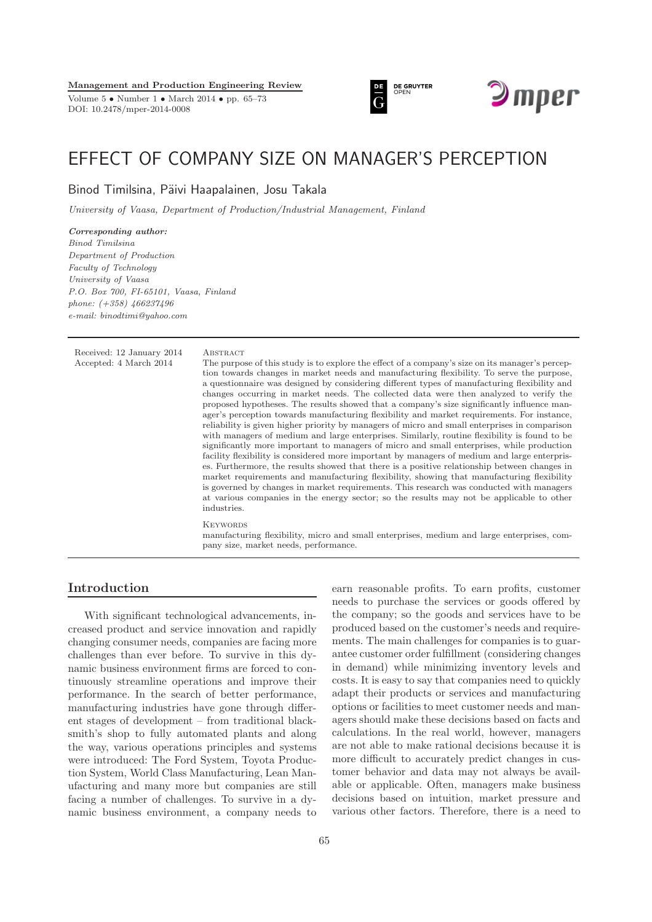**Management and Production Engineering Review**

Volume 5 • Number 1 • March 2014 • pp. 65–73 DOI: 10.2478/mper-2014-0008





# EFFECT OF COMPANY SIZE ON MANAGER'S PERCEPTION

Binod Timilsina, Päivi Haapalainen, Josu Takala

*University of Vaasa, Department of Production/Industrial Management, Finland*

*Corresponding author: Binod Timilsina Department of Production Faculty of Technology University of Vaasa P.O. Box 700, FI-65101, Vaasa, Finland phone: (+358) 466237496 e-mail: binodtimi@yahoo.com*

Received: 12 January 2014 ABSTRACT

Accepted: 4 March 2014 The purpose of this study is to explore the effect of a company's size on its manager's perception towards changes in market needs and manufacturing flexibility. To serve the purpose, a questionnaire was designed by considering different types of manufacturing flexibility and changes occurring in market needs. The collected data were then analyzed to verify the proposed hypotheses. The results showed that a company's size significantly influence manager's perception towards manufacturing flexibility and market requirements. For instance, reliability is given higher priority by managers of micro and small enterprises in comparison with managers of medium and large enterprises. Similarly, routine flexibility is found to be significantly more important to managers of micro and small enterprises, while production facility flexibility is considered more important by managers of medium and large enterprises. Furthermore, the results showed that there is a positive relationship between changes in market requirements and manufacturing flexibility, showing that manufacturing flexibility is governed by changes in market requirements. This research was conducted with managers at various companies in the energy sector; so the results may not be applicable to other industries.

#### **KEYWORDS**

manufacturing flexibility, micro and small enterprises, medium and large enterprises, company size, market needs, performance.

## **Introduction**

With significant technological advancements, increased product and service innovation and rapidly changing consumer needs, companies are facing more challenges than ever before. To survive in this dynamic business environment firms are forced to continuously streamline operations and improve their performance. In the search of better performance, manufacturing industries have gone through different stages of development – from traditional blacksmith's shop to fully automated plants and along the way, various operations principles and systems were introduced: The Ford System, Toyota Production System, World Class Manufacturing, Lean Manufacturing and many more but companies are still facing a number of challenges. To survive in a dynamic business environment, a company needs to earn reasonable profits. To earn profits, customer needs to purchase the services or goods offered by the company; so the goods and services have to be produced based on the customer's needs and requirements. The main challenges for companies is to guarantee customer order fulfillment (considering changes in demand) while minimizing inventory levels and costs. It is easy to say that companies need to quickly adapt their products or services and manufacturing options or facilities to meet customer needs and managers should make these decisions based on facts and calculations. In the real world, however, managers are not able to make rational decisions because it is more difficult to accurately predict changes in customer behavior and data may not always be available or applicable. Often, managers make business decisions based on intuition, market pressure and various other factors. Therefore, there is a need to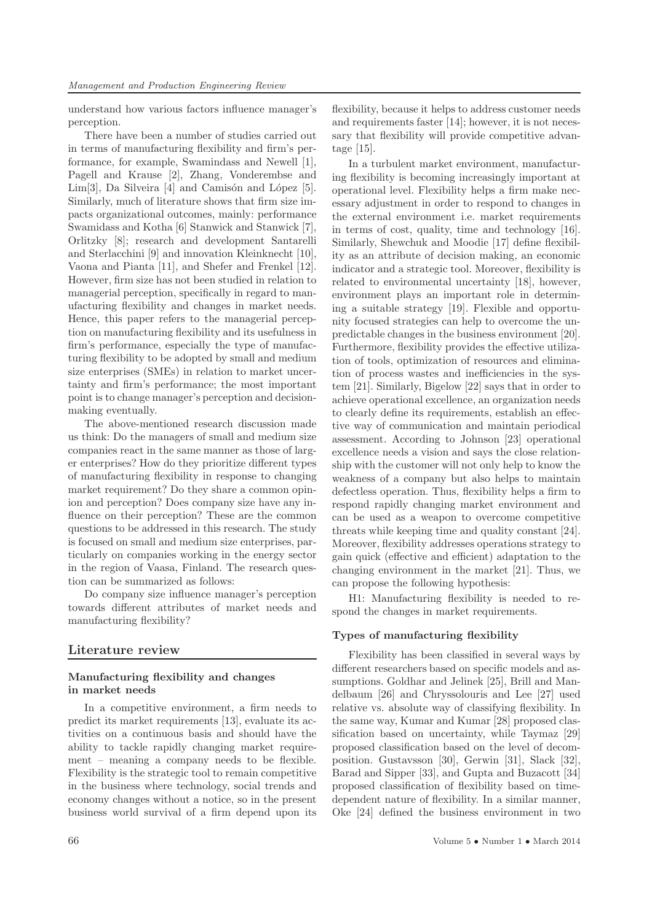understand how various factors influence manager's perception.

There have been a number of studies carried out in terms of manufacturing flexibility and firm's performance, for example, Swamindass and Newell [1], Pagell and Krause [2], Zhang, Vonderembse and Lim[3], Da Silveira [4] and Camisón and López [5]. Similarly, much of literature shows that firm size impacts organizational outcomes, mainly: performance Swamidass and Kotha [6] Stanwick and Stanwick [7], Orlitzky [8]; research and development Santarelli and Sterlacchini [9] and innovation Kleinknecht [10], Vaona and Pianta [11], and Shefer and Frenkel [12]. However, firm size has not been studied in relation to managerial perception, specifically in regard to manufacturing flexibility and changes in market needs. Hence, this paper refers to the managerial perception on manufacturing flexibility and its usefulness in firm's performance, especially the type of manufacturing flexibility to be adopted by small and medium size enterprises (SMEs) in relation to market uncertainty and firm's performance; the most important point is to change manager's perception and decisionmaking eventually.

The above-mentioned research discussion made us think: Do the managers of small and medium size companies react in the same manner as those of larger enterprises? How do they prioritize different types of manufacturing flexibility in response to changing market requirement? Do they share a common opinion and perception? Does company size have any influence on their perception? These are the common questions to be addressed in this research. The study is focused on small and medium size enterprises, particularly on companies working in the energy sector in the region of Vaasa, Finland. The research question can be summarized as follows:

Do company size influence manager's perception towards different attributes of market needs and manufacturing flexibility?

## **Literature review**

#### **Manufacturing flexibility and changes in market needs**

In a competitive environment, a firm needs to predict its market requirements [13], evaluate its activities on a continuous basis and should have the ability to tackle rapidly changing market requirement – meaning a company needs to be flexible. Flexibility is the strategic tool to remain competitive in the business where technology, social trends and economy changes without a notice, so in the present business world survival of a firm depend upon its flexibility, because it helps to address customer needs and requirements faster [14]; however, it is not necessary that flexibility will provide competitive advantage [15].

In a turbulent market environment, manufacturing flexibility is becoming increasingly important at operational level. Flexibility helps a firm make necessary adjustment in order to respond to changes in the external environment i.e. market requirements in terms of cost, quality, time and technology [16]. Similarly, Shewchuk and Moodie [17] define flexibility as an attribute of decision making, an economic indicator and a strategic tool. Moreover, flexibility is related to environmental uncertainty [18], however, environment plays an important role in determining a suitable strategy [19]. Flexible and opportunity focused strategies can help to overcome the unpredictable changes in the business environment [20]. Furthermore, flexibility provides the effective utilization of tools, optimization of resources and elimination of process wastes and inefficiencies in the system [21]. Similarly, Bigelow [22] says that in order to achieve operational excellence, an organization needs to clearly define its requirements, establish an effective way of communication and maintain periodical assessment. According to Johnson [23] operational excellence needs a vision and says the close relationship with the customer will not only help to know the weakness of a company but also helps to maintain defectless operation. Thus, flexibility helps a firm to respond rapidly changing market environment and can be used as a weapon to overcome competitive threats while keeping time and quality constant [24]. Moreover, flexibility addresses operations strategy to gain quick (effective and efficient) adaptation to the changing environment in the market [21]. Thus, we can propose the following hypothesis:

H1: Manufacturing flexibility is needed to respond the changes in market requirements.

#### **Types of manufacturing flexibility**

Flexibility has been classified in several ways by different researchers based on specific models and assumptions. Goldhar and Jelinek [25], Brill and Mandelbaum [26] and Chryssolouris and Lee [27] used relative vs. absolute way of classifying flexibility. In the same way, Kumar and Kumar [28] proposed classification based on uncertainty, while Taymaz [29] proposed classification based on the level of decomposition. Gustavsson [30], Gerwin [31], Slack [32], Barad and Sipper [33], and Gupta and Buzacott [34] proposed classification of flexibility based on timedependent nature of flexibility. In a similar manner, Oke [24] defined the business environment in two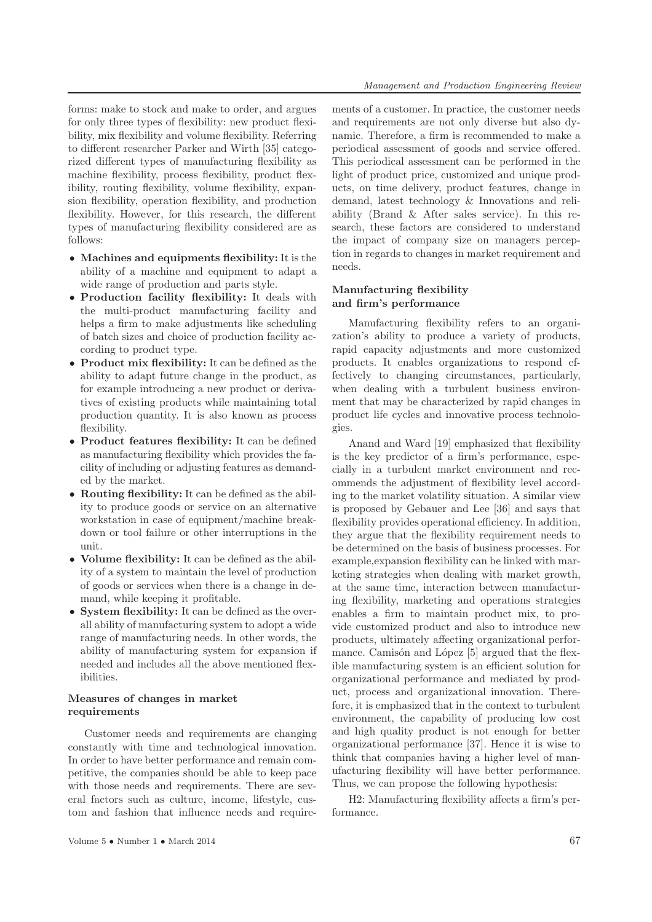forms: make to stock and make to order, and argues for only three types of flexibility: new product flexibility, mix flexibility and volume flexibility. Referring to different researcher Parker and Wirth [35] categorized different types of manufacturing flexibility as machine flexibility, process flexibility, product flexibility, routing flexibility, volume flexibility, expansion flexibility, operation flexibility, and production flexibility. However, for this research, the different types of manufacturing flexibility considered are as follows:

- **Machines and equipments flexibility:** It is the ability of a machine and equipment to adapt a wide range of production and parts style.
- **Production facility flexibility:** It deals with the multi-product manufacturing facility and helps a firm to make adjustments like scheduling of batch sizes and choice of production facility according to product type.
- **Product mix flexibility:** It can be defined as the ability to adapt future change in the product, as for example introducing a new product or derivatives of existing products while maintaining total production quantity. It is also known as process flexibility.
- **Product features flexibility:** It can be defined as manufacturing flexibility which provides the facility of including or adjusting features as demanded by the market.
- **Routing flexibility:** It can be defined as the ability to produce goods or service on an alternative workstation in case of equipment/machine breakdown or tool failure or other interruptions in the unit.
- **Volume flexibility:** It can be defined as the ability of a system to maintain the level of production of goods or services when there is a change in demand, while keeping it profitable.
- **System flexibility:** It can be defined as the overall ability of manufacturing system to adopt a wide range of manufacturing needs. In other words, the ability of manufacturing system for expansion if needed and includes all the above mentioned flexibilities.

#### **Measures of changes in market requirements**

Customer needs and requirements are changing constantly with time and technological innovation. In order to have better performance and remain competitive, the companies should be able to keep pace with those needs and requirements. There are several factors such as culture, income, lifestyle, custom and fashion that influence needs and requirements of a customer. In practice, the customer needs and requirements are not only diverse but also dynamic. Therefore, a firm is recommended to make a periodical assessment of goods and service offered. This periodical assessment can be performed in the light of product price, customized and unique products, on time delivery, product features, change in demand, latest technology & Innovations and reliability (Brand & After sales service). In this research, these factors are considered to understand the impact of company size on managers perception in regards to changes in market requirement and needs.

#### **Manufacturing flexibility and firm's performance**

Manufacturing flexibility refers to an organization's ability to produce a variety of products, rapid capacity adjustments and more customized products. It enables organizations to respond effectively to changing circumstances, particularly, when dealing with a turbulent business environment that may be characterized by rapid changes in product life cycles and innovative process technologies.

Anand and Ward [19] emphasized that flexibility is the key predictor of a firm's performance, especially in a turbulent market environment and recommends the adjustment of flexibility level according to the market volatility situation. A similar view is proposed by Gebauer and Lee [36] and says that flexibility provides operational efficiency. In addition, they argue that the flexibility requirement needs to be determined on the basis of business processes. For example,expansion flexibility can be linked with marketing strategies when dealing with market growth, at the same time, interaction between manufacturing flexibility, marketing and operations strategies enables a firm to maintain product mix, to provide customized product and also to introduce new products, ultimately affecting organizational performance. Camisón and López [5] argued that the flexible manufacturing system is an efficient solution for organizational performance and mediated by product, process and organizational innovation. Therefore, it is emphasized that in the context to turbulent environment, the capability of producing low cost and high quality product is not enough for better organizational performance [37]. Hence it is wise to think that companies having a higher level of manufacturing flexibility will have better performance. Thus, we can propose the following hypothesis:

H2: Manufacturing flexibility affects a firm's performance.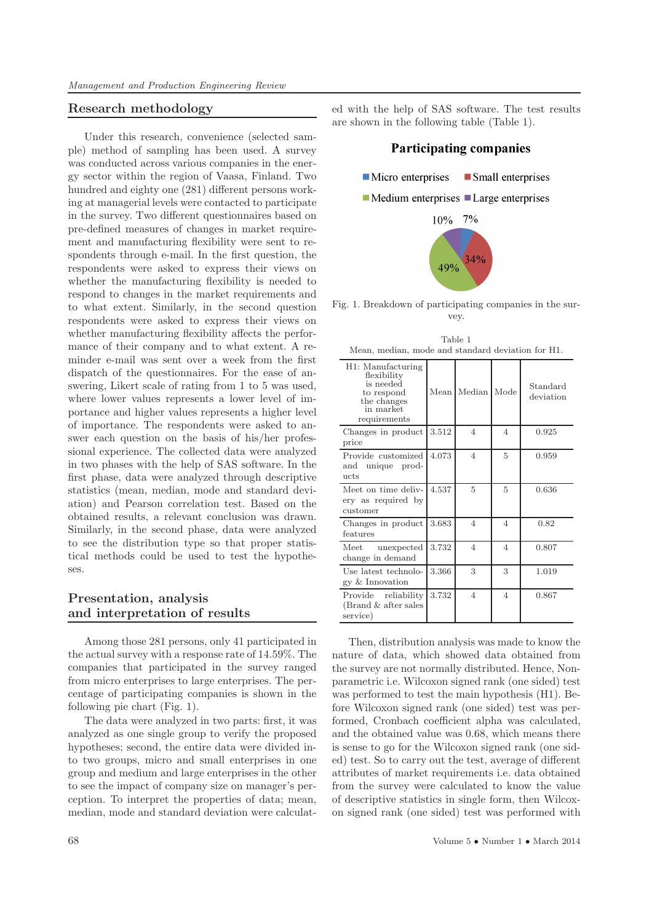#### **Research methodology**

Under this research, convenience (selected sample) method of sampling has been used. A survey was conducted across various companies in the energy sector within the region of Vaasa, Finland. Two hundred and eighty one (281) different persons working at managerial levels were contacted to participate in the survey. Two different questionnaires based on pre-defined measures of changes in market requirement and manufacturing flexibility were sent to respondents through e-mail. In the first question, the respondents were asked to express their views on whether the manufacturing flexibility is needed to respond to changes in the market requirements and to what extent. Similarly, in the second question respondents were asked to express their views on whether manufacturing flexibility affects the performance of their company and to what extent. A reminder e-mail was sent over a week from the first dispatch of the questionnaires. For the ease of answering, Likert scale of rating from 1 to 5 was used, where lower values represents a lower level of importance and higher values represents a higher level of importance. The respondents were asked to answer each question on the basis of his/her professional experience. The collected data were analyzed in two phases with the help of SAS software. In the first phase, data were analyzed through descriptive statistics (mean, median, mode and standard deviation) and Pearson correlation test. Based on the obtained results, a relevant conclusion was drawn. Similarly, in the second phase, data were analyzed to see the distribution type so that proper statistical methods could be used to test the hypotheses.

# **Presentation, analysis and interpretation of results**

Among those 281 persons, only 41 participated in the actual survey with a response rate of 14.59%. The companies that participated in the survey ranged from micro enterprises to large enterprises. The percentage of participating companies is shown in the following pie chart (Fig. 1).

The data were analyzed in two parts: first, it was analyzed as one single group to verify the proposed hypotheses; second, the entire data were divided into two groups, micro and small enterprises in one group and medium and large enterprises in the other to see the impact of company size on manager's perception. To interpret the properties of data; mean, median, mode and standard deviation were calculated with the help of SAS software. The test results are shown in the following table (Table 1).

#### **Participating companies**



Fig. 1. Breakdown of participating companies in the survey.

| H1: Manufacturing<br>flexibility<br>is needed<br>to respond<br>the changes<br>in market<br>requirements | Mean  | Median         | Mode           | Standard<br>deviation |
|---------------------------------------------------------------------------------------------------------|-------|----------------|----------------|-----------------------|
| Changes in product<br>price                                                                             | 3.512 | $\overline{4}$ | $\overline{4}$ | 0.925                 |
| Provide customized<br>and unique prod-<br>ucts                                                          | 4.073 | $\overline{4}$ | 5              | 0.959                 |
| Meet on time deliv-<br>ery as required by<br>customer                                                   | 4.537 | 5              | $\overline{5}$ | 0.636                 |
| Changes in product<br>features                                                                          | 3.683 | $\overline{4}$ | $\overline{4}$ | 0.82                  |
| unexpected<br>$\operatorname{Meet}$<br>change in demand                                                 | 3.732 | $\overline{4}$ | 4              | 0.807                 |
| Use latest technolo-<br>gy & Innovation                                                                 | 3.366 | 3              | 3              | 1.019                 |
| Provide reliability<br>$(Brand \& after sales)$<br>service)                                             | 3.732 | $\overline{4}$ | $\overline{4}$ | 0.867                 |

Table 1 Mean, median, mode and standard deviation for H1.

Then, distribution analysis was made to know the nature of data, which showed data obtained from the survey are not normally distributed. Hence, Nonparametric i.e. Wilcoxon signed rank (one sided) test was performed to test the main hypothesis (H1). Before Wilcoxon signed rank (one sided) test was performed, Cronbach coefficient alpha was calculated, and the obtained value was 0.68, which means there is sense to go for the Wilcoxon signed rank (one sided) test. So to carry out the test, average of different attributes of market requirements i.e. data obtained from the survey were calculated to know the value of descriptive statistics in single form, then Wilcoxon signed rank (one sided) test was performed with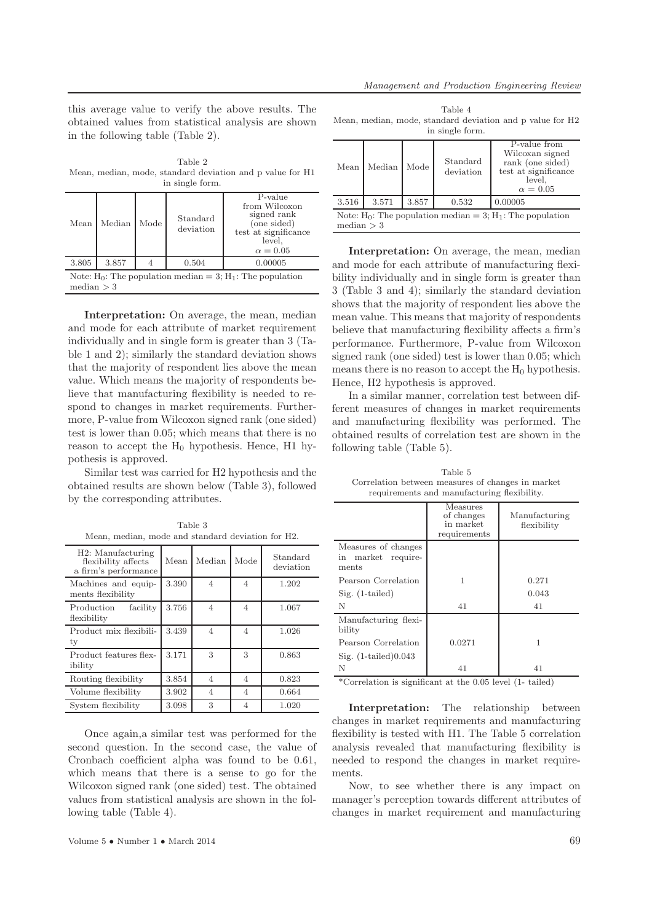this average value to verify the above results. The obtained values from statistical analysis are shown in the following table (Table 2).

Table 2 Mean, median, mode, standard deviation and p value for H1 in single form.

| 111.7711770.1011111                                                           |        |      |                       |                                                                                                             |  |
|-------------------------------------------------------------------------------|--------|------|-----------------------|-------------------------------------------------------------------------------------------------------------|--|
| Mean                                                                          | Median | Mode | Standard<br>deviation | P-value<br>from Wilcoxon<br>signed rank<br>(one sided)<br>test at significance<br>level,<br>$\alpha = 0.05$ |  |
| 3.805                                                                         | 3.857  |      | 0.504                 | 0.00005                                                                                                     |  |
| Note: $H_0$ : The population median = 3; $H_1$ : The population<br>median > 3 |        |      |                       |                                                                                                             |  |

**Interpretation:** On average, the mean, median and mode for each attribute of market requirement individually and in single form is greater than 3 (Table 1 and 2); similarly the standard deviation shows that the majority of respondent lies above the mean value. Which means the majority of respondents believe that manufacturing flexibility is needed to respond to changes in market requirements. Furthermore, P-value from Wilcoxon signed rank (one sided) test is lower than 0.05; which means that there is no reason to accept the  $H_0$  hypothesis. Hence, H1 hypothesis is approved.

Similar test was carried for H2 hypothesis and the obtained results are shown below (Table 3), followed by the corresponding attributes.

| Mean, median, mode and standard deviation for H2.                |       |                |                |                       |  |
|------------------------------------------------------------------|-------|----------------|----------------|-----------------------|--|
| H2: Manufacturing<br>flexibility affects<br>a firm's performance | Mean  | Median         | Mode           | Standard<br>deviation |  |
| Machines and equip-<br>ments flexibility                         | 3.390 | $\overline{4}$ | $\overline{4}$ | 1.202                 |  |
| facility<br>Production<br>flexibility                            | 3.756 | $\overline{4}$ | $\overline{4}$ | 1.067                 |  |
| Product mix flexibili-<br>ty                                     | 3.439 | $\overline{4}$ | 4              | 1.026                 |  |
| Product features flex-<br>ibility                                | 3.171 | 3              | 3              | 0.863                 |  |
| Routing flexibility                                              | 3.854 | $\overline{4}$ | $\overline{4}$ | 0.823                 |  |
| Volume flexibility                                               | 3.902 | $\overline{4}$ | 4              | 0.664                 |  |
| System flexibility                                               | 3.098 | 3              | 4              | 1.020                 |  |

Table 3

Once again,a similar test was performed for the second question. In the second case, the value of Cronbach coefficient alpha was found to be 0.61, which means that there is a sense to go for the Wilcoxon signed rank (one sided) test. The obtained values from statistical analysis are shown in the following table (Table 4).

| Table 4 |  |  |                 |                                                           |  |  |  |
|---------|--|--|-----------------|-----------------------------------------------------------|--|--|--|
|         |  |  |                 | Mean, median, mode, standard deviation and p value for H2 |  |  |  |
|         |  |  | in single form. |                                                           |  |  |  |

| Mean                                                                            | Median | Mode  | Standard<br>deviation | P-value from<br>Wilcoxan signed<br>rank (one sided)<br>test at significance<br>level,<br>$\alpha = 0.05$ |  |
|---------------------------------------------------------------------------------|--------|-------|-----------------------|----------------------------------------------------------------------------------------------------------|--|
| 3.516                                                                           | 3.571  | 3.857 | 0.532                 | 0.00005                                                                                                  |  |
| Note: $H_0$ : The population median = 3; $H_1$ : The population<br>median $>$ 3 |        |       |                       |                                                                                                          |  |

**Interpretation:** On average, the mean, median and mode for each attribute of manufacturing flexibility individually and in single form is greater than 3 (Table 3 and 4); similarly the standard deviation shows that the majority of respondent lies above the mean value. This means that majority of respondents believe that manufacturing flexibility affects a firm's performance. Furthermore, P-value from Wilcoxon signed rank (one sided) test is lower than 0.05; which means there is no reason to accept the  $H_0$  hypothesis. Hence, H2 hypothesis is approved.

In a similar manner, correlation test between different measures of changes in market requirements and manufacturing flexibility was performed. The obtained results of correlation test are shown in the following table (Table 5).

Table 5 Correlation between measures of changes in market requirements and manufacturing flexibility.

|                                                       | Measures<br>of changes<br>in market<br>requirements | Manufacturing<br>flexibility |
|-------------------------------------------------------|-----------------------------------------------------|------------------------------|
| Measures of changes<br>market require-<br>in<br>ments |                                                     |                              |
| Pearson Correlation                                   | 1                                                   | 0.271                        |
| $Sig. (1-tailed)$                                     |                                                     | 0.043                        |
| N                                                     | 41                                                  | 41                           |
| Manufacturing flexi-<br>bility                        |                                                     |                              |
| Pearson Correlation                                   | 0.0271                                              | 1                            |
| Sig. $(1-tailed)0.043$                                |                                                     |                              |
| N                                                     | 41                                                  | 41                           |

\*Correlation is significant at the 0.05 level (1- tailed)

**Interpretation:** The relationship between changes in market requirements and manufacturing flexibility is tested with H1. The Table 5 correlation analysis revealed that manufacturing flexibility is needed to respond the changes in market requirements.

Now, to see whether there is any impact on manager's perception towards different attributes of changes in market requirement and manufacturing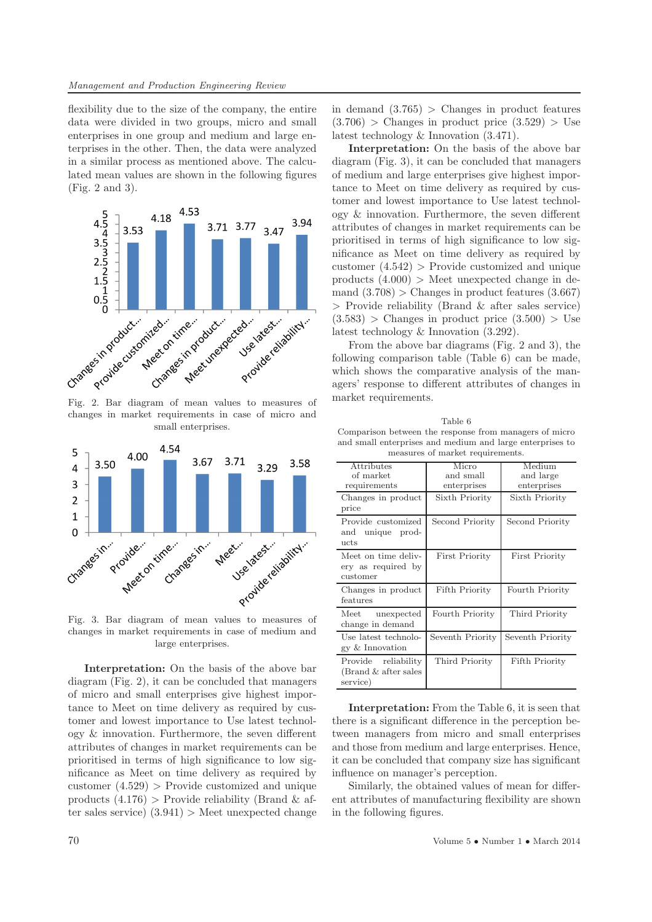flexibility due to the size of the company, the entire data were divided in two groups, micro and small enterprises in one group and medium and large enterprises in the other. Then, the data were analyzed in a similar process as mentioned above. The calculated mean values are shown in the following figures (Fig. 2 and 3).



changes in market requirements in case of micro and small enterprises.



changes in market requirements in case of medium and large enterprises.

**Interpretation:** On the basis of the above bar diagram (Fig. 2), it can be concluded that managers of micro and small enterprises give highest importance to Meet on time delivery as required by customer and lowest importance to Use latest technology & innovation. Furthermore, the seven different attributes of changes in market requirements can be prioritised in terms of high significance to low significance as Meet on time delivery as required by customer  $(4.529)$  > Provide customized and unique products  $(4.176)$  > Provide reliability (Brand & after sales service)  $(3.941)$  > Meet unexpected change in demand  $(3.765) >$  Changes in product features  $(3.706) >$  Changes in product price  $(3.529) >$  Use latest technology & Innovation (3.471).

**Interpretation:** On the basis of the above bar diagram (Fig. 3), it can be concluded that managers of medium and large enterprises give highest importance to Meet on time delivery as required by customer and lowest importance to Use latest technology & innovation. Furthermore, the seven different attributes of changes in market requirements can be prioritised in terms of high significance to low significance as Meet on time delivery as required by customer  $(4.542)$  > Provide customized and unique products  $(4.000)$  > Meet unexpected change in demand  $(3.708)$  > Changes in product features  $(3.667)$ > Provide reliability (Brand & after sales service)  $(3.583) >$  Changes in product price  $(3.500) >$  Use latest technology & Innovation (3.292).

From the above bar diagrams (Fig. 2 and 3), the following comparison table (Table 6) can be made, which shows the comparative analysis of the managers' response to different attributes of changes in market requirements.

| Table 6                                                   |  |  |  |  |
|-----------------------------------------------------------|--|--|--|--|
| Comparison between the response from managers of micro    |  |  |  |  |
| and small enterprises and medium and large enterprises to |  |  |  |  |
| measures of market requirements.                          |  |  |  |  |

| Attributes<br>of market<br>requirements                  | Micro<br>and small<br>enterprises | Medium<br>and large<br>enterprises |
|----------------------------------------------------------|-----------------------------------|------------------------------------|
| Changes in product<br>price                              | Sixth Priority                    | Sixth Priority                     |
| Provide customized<br>and unique prod-<br>ucts           | Second Priority                   | Second Priority                    |
| Meet on time deliv-<br>ery as required by<br>customer    | <b>First Priority</b>             | <b>First Priority</b>              |
| Changes in product<br>features                           | Fifth Priority                    | Fourth Priority                    |
| Meet<br>unexpected<br>change in demand                   | Fourth Priority                   | Third Priority                     |
| Use latest technolo-<br>gy & Innovation                  | Seventh Priority                  | Seventh Priority                   |
| Provide reliability<br>(Brand & after sales)<br>service) | Third Priority                    | Fifth Priority                     |

**Interpretation:** From the Table 6, it is seen that there is a significant difference in the perception between managers from micro and small enterprises and those from medium and large enterprises. Hence, it can be concluded that company size has significant influence on manager's perception.

Similarly, the obtained values of mean for different attributes of manufacturing flexibility are shown in the following figures.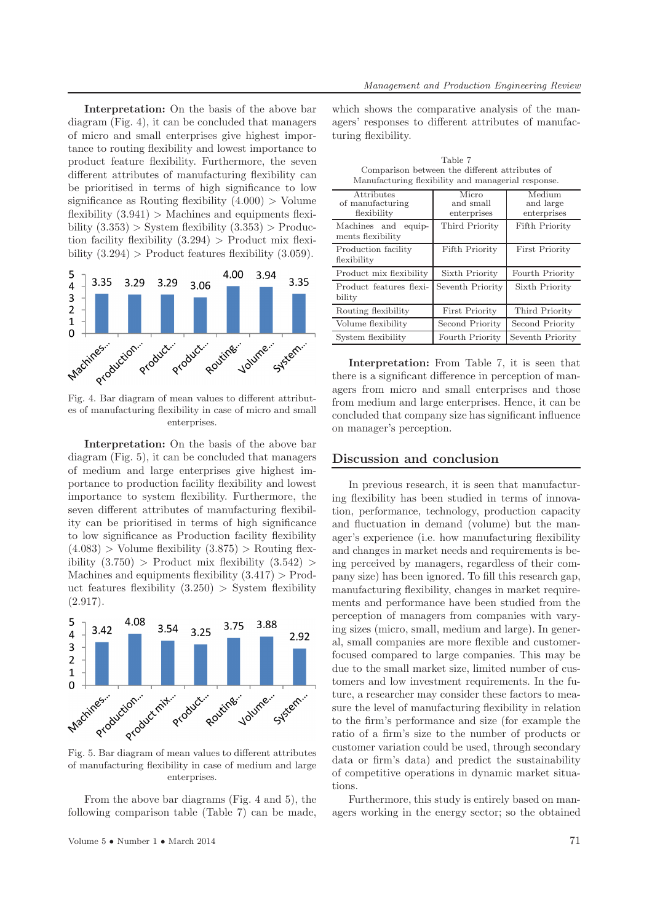**Interpretation:** On the basis of the above bar diagram (Fig. 4), it can be concluded that managers of micro and small enterprises give highest importance to routing flexibility and lowest importance to product feature flexibility. Furthermore, the seven different attributes of manufacturing flexibility can be prioritised in terms of high significance to low significance as Routing flexibility  $(4.000) >$  Volume flexibility  $(3.941)$  > Machines and equipments flexibility  $(3.353)$  > System flexibility  $(3.353)$  > Production facility flexibility  $(3.294)$  > Product mix flexibility  $(3.294)$  > Product features flexibility  $(3.059)$ .



es of manufacturing flexibility in case of micro and small enterprises.

**Interpretation:** On the basis of the above bar diagram (Fig. 5), it can be concluded that managers of medium and large enterprises give highest importance to production facility flexibility and lowest importance to system flexibility. Furthermore, the seven different attributes of manufacturing flexibility can be prioritised in terms of high significance to low significance as Production facility flexibility  $(4.083) >$  Volume flexibility  $(3.875) >$  Routing flexibility  $(3.750)$  > Product mix flexibility  $(3.542)$  > Machines and equipments flexibility  $(3.417) > \text{Prod}$ uct features flexibility  $(3.250) >$  System flexibility  $(2.917).$ 



Fig. 5. Bar diagram of mean values to different attributes of manufacturing flexibility in case of medium and large enterprises.

From the above bar diagrams (Fig. 4 and 5), the following comparison table (Table 7) can be made,

which shows the comparative analysis of the managers' responses to different attributes of manufacturing flexibility.

Table 7

| Comparison between the different attributes of<br>Manufacturing flexibility and managerial response. |                                   |                                    |  |  |  |
|------------------------------------------------------------------------------------------------------|-----------------------------------|------------------------------------|--|--|--|
| Attributes<br>of manufacturing<br>flexibility                                                        | Micro<br>and small<br>enterprises | Medium<br>and large<br>enterprises |  |  |  |
| Machines and<br>equip-<br>ments flexibility                                                          | Third Priority                    | Fifth Priority                     |  |  |  |
| Production facility<br>flexibility                                                                   | Fifth Priority                    | <b>First Priority</b>              |  |  |  |
| Product mix flexibility                                                                              | Sixth Priority                    | Fourth Priority                    |  |  |  |
| Product features flexi-<br>bility                                                                    | Seventh Priority                  | Sixth Priority                     |  |  |  |
| Routing flexibility                                                                                  | <b>First Priority</b>             | Third Priority                     |  |  |  |
| Volume flexibility                                                                                   | Second Priority                   | Second Priority                    |  |  |  |

**Interpretation:** From Table 7, it is seen that there is a significant difference in perception of managers from micro and small enterprises and those from medium and large enterprises. Hence, it can be concluded that company size has significant influence on manager's perception.

System flexibility Fourth Priority Seventh Priority

#### **Discussion and conclusion**

In previous research, it is seen that manufacturing flexibility has been studied in terms of innovation, performance, technology, production capacity and fluctuation in demand (volume) but the manager's experience (i.e. how manufacturing flexibility and changes in market needs and requirements is being perceived by managers, regardless of their company size) has been ignored. To fill this research gap, manufacturing flexibility, changes in market requirements and performance have been studied from the perception of managers from companies with varying sizes (micro, small, medium and large). In general, small companies are more flexible and customerfocused compared to large companies. This may be due to the small market size, limited number of customers and low investment requirements. In the future, a researcher may consider these factors to measure the level of manufacturing flexibility in relation to the firm's performance and size (for example the ratio of a firm's size to the number of products or customer variation could be used, through secondary data or firm's data) and predict the sustainability of competitive operations in dynamic market situations.

Furthermore, this study is entirely based on managers working in the energy sector; so the obtained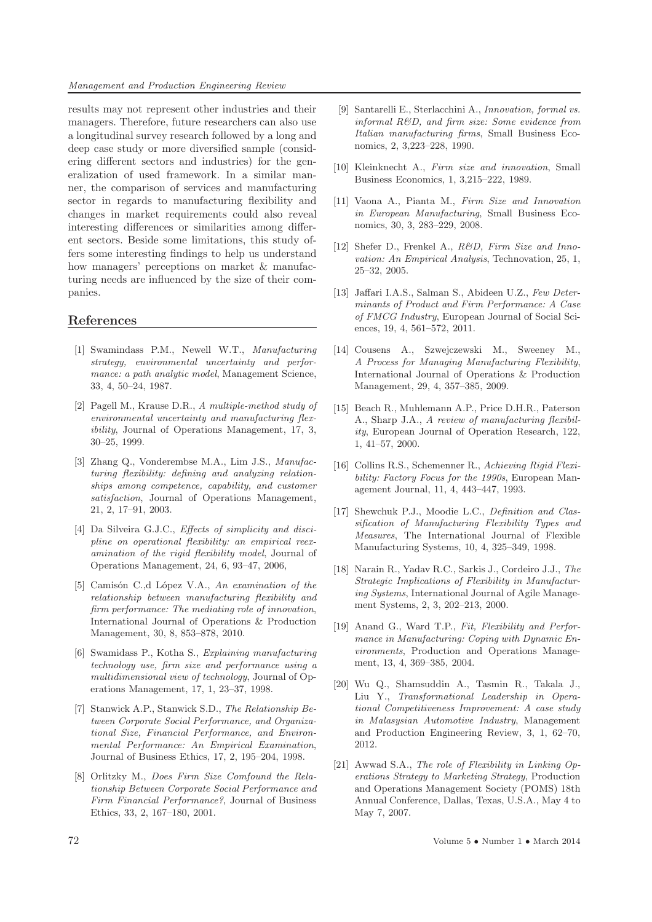*Management and Production Engineering Review*

results may not represent other industries and their managers. Therefore, future researchers can also use a longitudinal survey research followed by a long and deep case study or more diversified sample (considering different sectors and industries) for the generalization of used framework. In a similar manner, the comparison of services and manufacturing sector in regards to manufacturing flexibility and changes in market requirements could also reveal interesting differences or similarities among different sectors. Beside some limitations, this study offers some interesting findings to help us understand how managers' perceptions on market  $\&$  manufacturing needs are influenced by the size of their companies.

# **References**

- [1] Swamindass P.M., Newell W.T., *Manufacturing strategy, environmental uncertainty and performance: a path analytic model*, Management Science, 33, 4, 50–24, 1987.
- [2] Pagell M., Krause D.R., *A multiple-method study of environmental uncertainty and manufacturing flexibility*, Journal of Operations Management, 17, 3, 30–25, 1999.
- [3] Zhang Q., Vonderembse M.A., Lim J.S., *Manufacturing flexibility: defining and analyzing relationships among competence, capability, and customer satisfaction*, Journal of Operations Management, 21, 2, 17–91, 2003.
- [4] Da Silveira G.J.C., *Effects of simplicity and discipline on operational flexibility: an empirical reexamination of the rigid flexibility model*, Journal of Operations Management, 24, 6, 93–47, 2006,
- [5] Camisón C.,d López V.A., *An examination of the relationship between manufacturing flexibility and firm performance: The mediating role of innovation*, International Journal of Operations & Production Management, 30, 8, 853–878, 2010.
- [6] Swamidass P., Kotha S., *Explaining manufacturing technology use, firm size and performance using a multidimensional view of technology*, Journal of Operations Management, 17, 1, 23–37, 1998.
- [7] Stanwick A.P., Stanwick S.D., *The Relationship Between Corporate Social Performance, and Organizational Size, Financial Performance, and Environmental Performance: An Empirical Examination*, Journal of Business Ethics, 17, 2, 195–204, 1998.
- [8] Orlitzky M., *Does Firm Size Comfound the Relationship Between Corporate Social Performance and Firm Financial Performance?*, Journal of Business Ethics, 33, 2, 167–180, 2001.
- [9] Santarelli E., Sterlacchini A., *Innovation, formal vs. informal R&D, and firm size: Some evidence from Italian manufacturing firms*, Small Business Economics, 2, 3,223–228, 1990.
- [10] Kleinknecht A., *Firm size and innovation*, Small Business Economics, 1, 3,215–222, 1989.
- [11] Vaona A., Pianta M., *Firm Size and Innovation in European Manufacturing*, Small Business Economics, 30, 3, 283–229, 2008.
- [12] Shefer D., Frenkel A., *R&D, Firm Size and Innovation: An Empirical Analysis*, Technovation, 25, 1, 25–32, 2005.
- [13] Jaffari I.A.S., Salman S., Abideen U.Z., *Few Determinants of Product and Firm Performance: A Case of FMCG Industry*, European Journal of Social Sciences, 19, 4, 561–572, 2011.
- [14] Cousens A., Szwejczewski M., Sweeney M., *A Process for Managing Manufacturing Flexibility*, International Journal of Operations & Production Management, 29, 4, 357–385, 2009.
- [15] Beach R., Muhlemann A.P., Price D.H.R., Paterson A., Sharp J.A., *A review of manufacturing flexibility*, European Journal of Operation Research, 122, 1, 41–57, 2000.
- [16] Collins R.S., Schemenner R., *Achieving Rigid Flexibility: Factory Focus for the 1990s*, European Management Journal, 11, 4, 443–447, 1993.
- [17] Shewchuk P.J., Moodie L.C., *Definition and Classification of Manufacturing Flexibility Types and Measures*, The International Journal of Flexible Manufacturing Systems, 10, 4, 325–349, 1998.
- [18] Narain R., Yadav R.C., Sarkis J., Cordeiro J.J., *The Strategic Implications of Flexibility in Manufacturing Systems*, International Journal of Agile Management Systems, 2, 3, 202–213, 2000.
- [19] Anand G., Ward T.P., *Fit, Flexibility and Performance in Manufacturing: Coping with Dynamic Environments*, Production and Operations Management, 13, 4, 369–385, 2004.
- [20] Wu Q., Shamsuddin A., Tasmin R., Takala J., Liu Y., *Transformational Leadership in Operational Competitiveness Improvement: A case study in Malasysian Automotive Industry*, Management and Production Engineering Review, 3, 1, 62–70, 2012.
- [21] Awwad S.A., *The role of Flexibility in Linking Operations Strategy to Marketing Strategy*, Production and Operations Management Society (POMS) 18th Annual Conference, Dallas, Texas, U.S.A., May 4 to May 7, 2007.